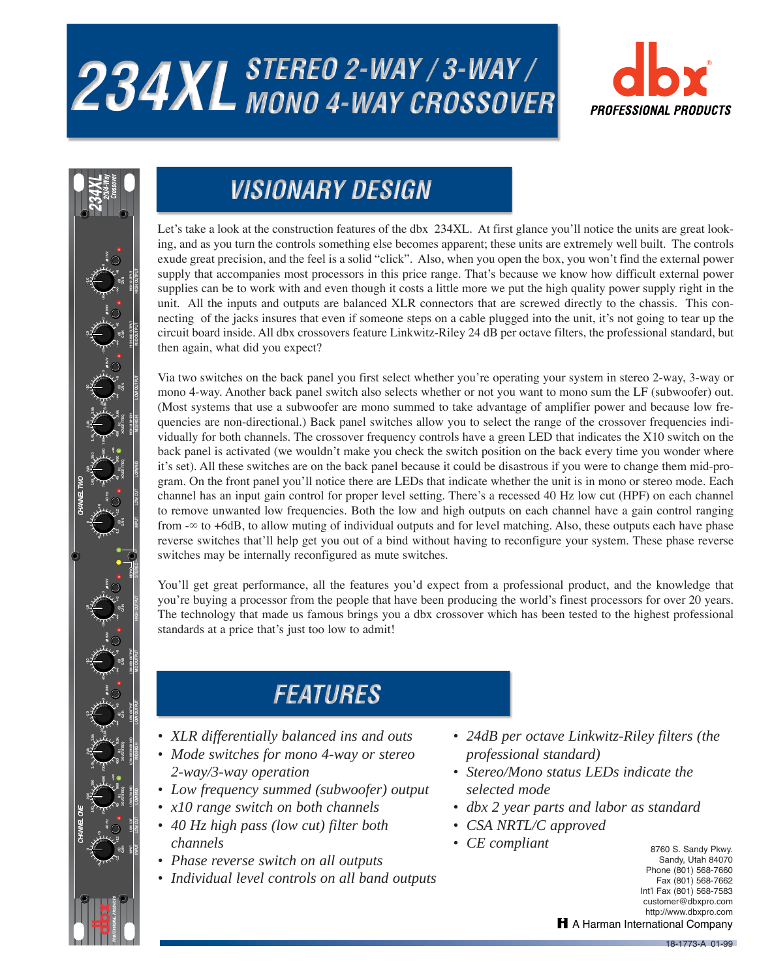# 234XL STEREO 2-WAY / 3-WAY /





### **VISIONARY DESIGN**

Let's take a look at the construction features of the dbx 234XL. At first glance you'll notice the units are great looking, and as you turn the controls something else becomes apparent; these units are extremely well built. The controls exude great precision, and the feel is a solid "click". Also, when you open the box, you won't find the external power supply that accompanies most processors in this price range. That's because we know how difficult external power supplies can be to work with and even though it costs a little more we put the high quality power supply right in the unit. All the inputs and outputs are balanced XLR connectors that are screwed directly to the chassis. This connecting of the jacks insures that even if someone steps on a cable plugged into the unit, it's not going to tear up the circuit board inside. All dbx crossovers feature Linkwitz-Riley 24 dB per octave filters, the professional standard, but then again, what did you expect?

Via two switches on the back panel you first select whether you're operating your system in stereo 2-way, 3-way or mono 4-way. Another back panel switch also selects whether or not you want to mono sum the LF (subwoofer) out. (Most systems that use a subwoofer are mono summed to take advantage of amplifier power and because low frequencies are non-directional.) Back panel switches allow you to select the range of the crossover frequencies individually for both channels. The crossover frequency controls have a green LED that indicates the X10 switch on the back panel is activated (we wouldn't make you check the switch position on the back every time you wonder where it's set). All these switches are on the back panel because it could be disastrous if you were to change them mid-program. On the front panel you'll notice there are LEDs that indicate whether the unit is in mono or stereo mode. Each channel has an input gain control for proper level setting. There's a recessed 40 Hz low cut (HPF) on each channel to remove unwanted low frequencies. Both the low and high outputs on each channel have a gain control ranging from -∞ to +6dB, to allow muting of individual outputs and for level matching. Also, these outputs each have phase reverse switches that'll help get you out of a bind without having to reconfigure your system. These phase reverse switches may be internally reconfigured as mute switches.

You'll get great performance, all the features you'd expect from a professional product, and the knowledge that you're buying a processor from the people that have been producing the world's finest processors for over 20 years. The technology that made us famous brings you a dbx crossover which has been tested to the highest professional standards at a price that's just too low to admit!

## **FEATURES**

- *XLR differentially balanced ins and outs*
- *Mode switches for mono 4-way or stereo 2-way/3-way operation*
- *Low frequency summed (subwoofer) output*
- *x10 range switch on both channels*
- *40 Hz high pass (low cut) filter both channels*
- *Phase reverse switch on all outputs*
- *Individual level controls on all band outputs*
- *24dB per octave Linkwitz-Riley filters (the professional standard)*
- *Stereo/Mono status LEDs indicate the selected mode*
- *dbx 2 year parts and labor as standard*
- *CSA NRTL/C approved*
- *CE compliant*

8760 S. Sandy Pkwy. Sandy, Utah 84070 Phone (801) 568-7660 Fax (801) 568-7662 Int'l Fax (801) 568-7583 customer@dbxpro.com http://www.dbxpro.com H A Harman International Company